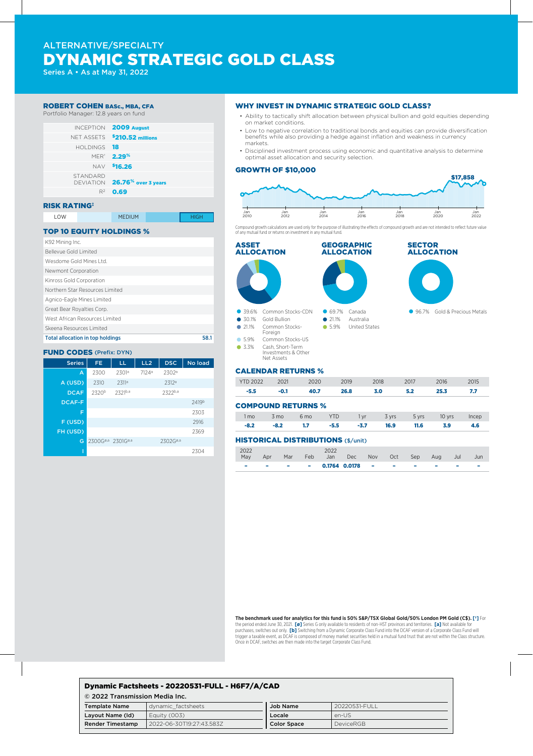# ALTERNATIVE/SPECIALTY DYNAMIC STRATEGIC GOLD CLASS

Series A • As at May 31, 2022

### ROBERT COHEN BASc., MBA, CFA

Portfolio Manager: 12.8 years on fund



## RISK RATING‡

| LOW | <b>MEDIUM</b> | <b>HIGH</b> |
|-----|---------------|-------------|

### TOP 10 EQUITY HOLDINGS %

| K92 Mining Inc.                         |      |
|-----------------------------------------|------|
| Bellevue Gold Limited                   |      |
| Wesdome Gold Mines Ltd.                 |      |
| Newmont Corporation                     |      |
| Kinross Gold Corporation                |      |
| Northern Star Resources Limited         |      |
| Agnico-Eagle Mines Limited              |      |
| Great Bear Royalties Corp.              |      |
| West African Resources Limited          |      |
| Skeena Resources Limited                |      |
| <b>Total allocation in top holdings</b> | 58.1 |

## FUND CODES (Prefix: DYN)

| <b>Series</b> | FE.                           | LL                | LL <sub>2</sub> | <b>DSC</b>           | No load |
|---------------|-------------------------------|-------------------|-----------------|----------------------|---------|
| A             | 2300                          | 2301a             | 7124ª           | 2302 <sup>a</sup>    |         |
| A (USD)       | 2310                          | 2311 <sup>a</sup> |                 | 2312 <sup>a</sup>    |         |
| <b>DCAF</b>   | 2320 <sup>b</sup>             | 2321b,a           |                 | 2322b,a              |         |
| <b>DCAF-F</b> |                               |                   |                 |                      | 2419b   |
| F             |                               |                   |                 |                      | 2303    |
| F (USD)       |                               |                   |                 |                      | 2916    |
| FH (USD)      |                               |                   |                 |                      | 2369    |
| G             | 2300G <sup>ø,a</sup> 2301Gø,a |                   |                 | 2302G <sup>ø,a</sup> |         |
|               |                               |                   |                 |                      | 2304    |

#### WHY INVEST IN DYNAMIC STRATEGIC GOLD CLASS?

- Ability to tactically shift allocation between physical bullion and gold equities depending on market conditions.
- Low to negative correlation to traditional bonds and equities can provide diversification benefits while also providing a hedge against inflation and weakness in currency markets.
- Disciplined investment process using economic and quantitative analysis to determine optimal asset allocation and security selection.

#### GROWTH OF \$10,000



Compound growth calculations are used only for the purpose of illustrating the effects of compound growth and are not intended to reflect future value of any mutual fund or returns on investment in any mutual fund.



#### COMPOUND RETURNS %

| 1 mo 3 mo 6 mo YTD 1 yr 3 yrs 5 yrs 10 yrs Incep |  |  |                                                   |  |  |
|--------------------------------------------------|--|--|---------------------------------------------------|--|--|
|                                                  |  |  | $-8.2$ $-8.2$ 1.7 $-5.5$ $-3.7$ 16.9 11.6 3.9 4.6 |  |  |

## HISTORICAL DISTRIBUTIONS (\$/unit)

| 2022 |                                           |  | 2022<br>May Apr Mar Feb Jan Dec Nov Oct Sep Aug |  |  | Jul | Jun |
|------|-------------------------------------------|--|-------------------------------------------------|--|--|-----|-----|
| ۰    | <b>Service Contract Contract Contract</b> |  |                                                 |  |  |     |     |

**The benchmark used for analytics for this fund is 50% S&P/TSX Global Gold/50% London PM Gold (C\$). [†]** For the period ended June 30, 2021. **[ø]** Series G only available to residents of non-HST provinces and territories. **[a]** Not available for purchases, switches out only. **[b]** Switching from a Dynamic Corporate Class Fund into the DCAF version of a Corporate Class Fund will trigger a taxable event, as DCAF is composed of money market securities held in a mutual fund trust that are not within the Class structure. Once in DCAF, switches are then made into the target Corporate Class Fund.